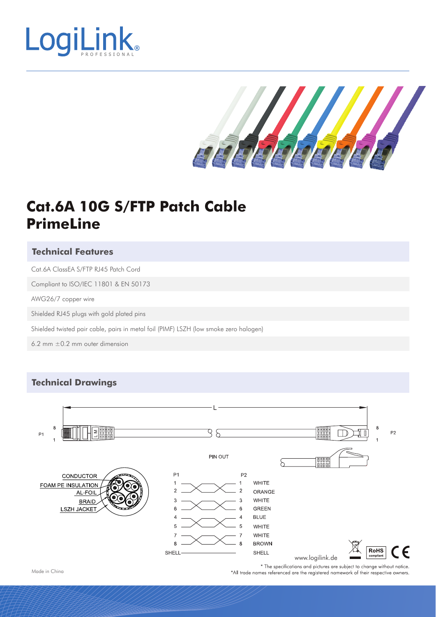



# **Cat.6A 10G S/FTP Patch Cable PrimeLine**

#### **Technical Features**

Cat.6A ClassEA S/FTP RJ45 Patch Cord

Compliant to ISO/IEC 11801 & EN 50173

AWG26/7 copper wire

Shielded RJ45 plugs with gold plated pins

Shielded twisted pair cable, pairs in metal foil (PIMF) LSZH (low smoke zero halogen)

6.2 mm  $\pm$ 0.2 mm outer dimension

### **Technical Drawings**



Made in China

\* The specifications and pictures are subject to change without notice. \*All trade names referenced are the registered namework of their respective owners.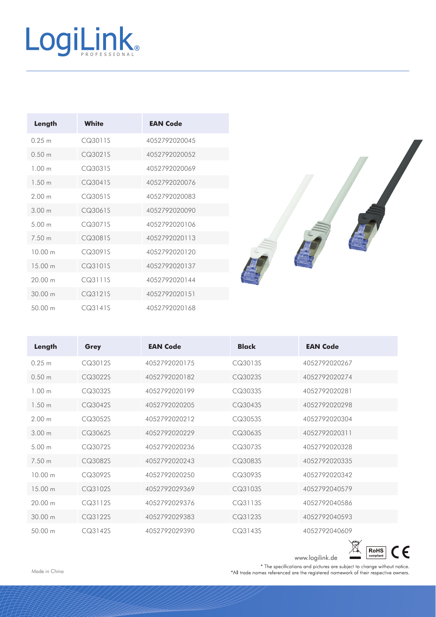| Length            | White   | <b>EAN Code</b> |
|-------------------|---------|-----------------|
| 0.25 m            | CQ3011S | 4052792020045   |
| 0.50 m            | CQ3021S | 4052792020052   |
| 100 <sub>m</sub>  | CQ3031S | 4052792020069   |
| 1.50 <sub>m</sub> | CQ3041S | 4052792020076   |
| 200m              | CQ3051S | 4052792020083   |
| 300 m             | CQ3061S | 4052792020090   |
| 500 <sub>m</sub>  | CQ3071S | 4052792020106   |
| 7.50 m            | CQ3081S | 4052792020113   |
| 10.00 m           | CQ3091S | 4052792020120   |
| 15 00 m           | CQ3101S | 4052792020137   |
| 2000m             | CQ3111S | 4052792020144   |
| 3000m             | CQ3121S | 4052792020151   |
| 50.00 m           | CQ3141S | 4052792020168   |



| Length            | Grey    | <b>EAN Code</b> | <b>Black</b> | <b>EAN Code</b> |
|-------------------|---------|-----------------|--------------|-----------------|
| 0.25 m            | CQ3012S | 4052792020175   | CQ3013S      | 4052792020267   |
| 0.50 <sub>m</sub> | CQ3022S | 4052792020182   | CQ3023S      | 4052792020274   |
| 100 <sub>m</sub>  | CQ3032S | 4052792020199   | CQ3033S      | 4052792020281   |
| 1.50 m            | CQ3042S | 4052792020205   | CQ3043S      | 4052792020298   |
| 200m              | CQ3052S | 4052792020212   | CQ3053S      | 4052792020304   |
| 3.00 <sub>m</sub> | CQ3062S | 4052792020229   | CQ3063S      | 4052792020311   |
| 5.00 <sub>m</sub> | CQ3072S | 4052792020236   | CQ3073S      | 4052792020328   |
| 7.50 m            | CQ3082S | 4052792020243   | CQ3083S      | 4052792020335   |
| 1000m             | CQ3092S | 4052792020250   | CQ3093S      | 4052792020342   |
| 15 00 m           | CQ3102S | 4052792029369   | CQ3103S      | 4052792040579   |
| 2000m             | CQ3112S | 4052792029376   | CQ3113S      | 4052792040586   |
| 3000m             | CQ3122S | 4052792029383   | CQ3123S      | 4052792040593   |
| 5000m             | CQ3142S | 4052792029390   | CQ3143S      | 4052792040609   |

 $\boxtimes$  $\boxed{\text{RoHS}}_{\text{compliant}}$  $C \in$ 

www.logilink.de <u>and compliant</u><br>
\* The specifications and pictures are subject to change without notice.<br>
\*All trade names referenced are the registered namework of their respective owners.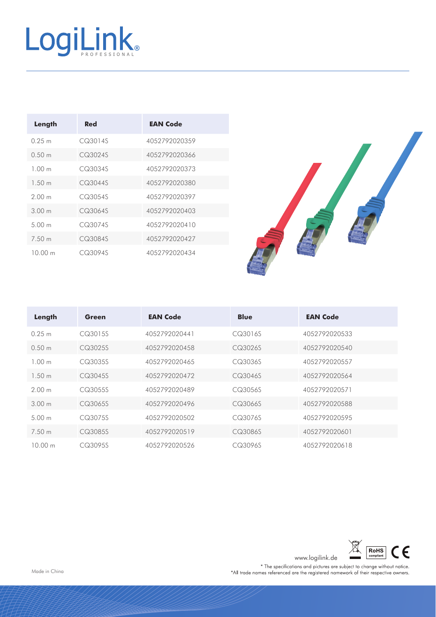| Length           | Red     | <b>EAN Code</b> |
|------------------|---------|-----------------|
| 0.25 m           | CQ3014S | 4052792020359   |
| 0.50 m           | CQ3024S | 4052792020366   |
| 100m             | CQ3034S | 4052792020373   |
| 1.50 m           | CQ3044S | 4052792020380   |
| 200 <sub>m</sub> | CQ3054S | 4052792020397   |
| 300 m            | CQ3064S | 4052792020403   |
| 500m             | CQ3074S | 4052792020410   |
| 7.50 m           | CQ3084S | 4052792020427   |
| 10 00 m          | CQ3094S | 4052792020434   |



| Length            | Green   | <b>EAN Code</b> | <b>Blue</b> | <b>EAN Code</b> |
|-------------------|---------|-----------------|-------------|-----------------|
| 0.25 m            | CQ3015S | 4052792020441   | CQ3016S     | 4052792020533   |
| 0.50 m            | CQ3025S | 4052792020458   | CQ3026S     | 4052792020540   |
| 100 <sub>m</sub>  | CQ3035S | 4052792020465   | CQ3036S     | 4052792020557   |
| 1.50 m            | CQ3045S | 4052792020472   | CQ3046S     | 4052792020564   |
| 200m              | CQ3055S | 4052792020489   | CQ3056S     | 4052792020571   |
| 3.00 <sub>m</sub> | CQ3065S | 4052792020496   | CQ3066S     | 4052792020588   |
| 5.00 m            | CQ3075S | 4052792020502   | CQ3076S     | 4052792020595   |
| 7.50 m            | CQ3085S | 4052792020519   | CQ3086S     | 4052792020601   |
| 1000m             | CQ3095S | 4052792020526   | CQ3096S     | 4052792020618   |



www.logilink.de <u>and compliant</u><br>
\* The specifications and pictures are subject to change without notice.<br>
\*All trade names referenced are the registered namework of their respective owners.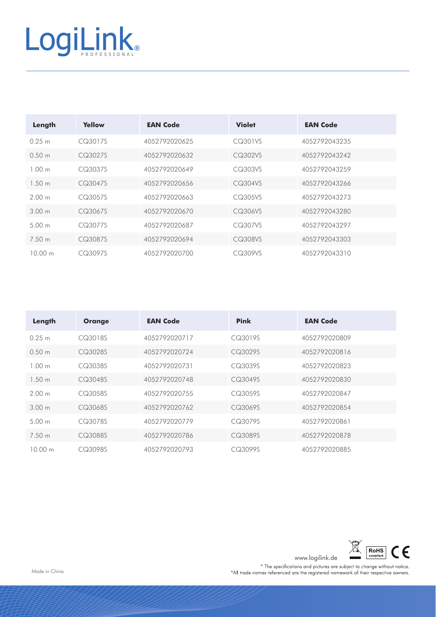| Length            | Yellow  | <b>EAN Code</b> | <b>Violet</b> | <b>EAN Code</b> |
|-------------------|---------|-----------------|---------------|-----------------|
| 0.25 m            | CQ3017S | 4052792020625   | CQ301VS       | 4052792043235   |
| 0.50 m            | CQ3027S | 4052792020632   | CQ302VS       | 4052792043242   |
| 100 <sub>m</sub>  | CQ3037S | 4052792020649   | CQ303VS       | 4052792043259   |
| 1.50 m            | CQ3047S | 4052792020656   | CQ304VS       | 4052792043266   |
| 200 <sub>m</sub>  | CQ3057S | 4052792020663   | CQ305VS       | 4052792043273   |
| 3.00 m            | CQ3067S | 4052792020670   | CQ306VS       | 4052792043280   |
| 5.00 <sub>m</sub> | CQ3077S | 4052792020687   | CQ307VS       | 4052792043297   |
| 7.50 m            | CQ3087S | 4052792020694   | CQ308VS       | 4052792043303   |
| 10.00 m           | CQ3097S | 4052792020700   | CQ309VS       | 4052792043310   |

| Length            | <b>Orange</b> | <b>EAN Code</b> | <b>Pink</b> | <b>EAN Code</b> |
|-------------------|---------------|-----------------|-------------|-----------------|
| 0.25 m            | CQ3018S       | 4052792020717   | CQ3019S     | 4052792020809   |
| $0.50 \text{ m}$  | CQ3028S       | 4052792020724   | CQ3029S     | 4052792020816   |
| 100 <sub>m</sub>  | CQ3038S       | 4052792020731   | CQ3039S     | 4052792020823   |
| 1.50 m            | CQ3048S       | 4052792020748   | CQ3049S     | 4052792020830   |
| 200 <sub>m</sub>  | CQ3058S       | 4052792020755   | CQ3059S     | 4052792020847   |
| 3.00 m            | CQ3068S       | 4052792020762   | CQ3069S     | 4052792020854   |
| 5.00 m            | CQ3078S       | 4052792020779   | CQ3079S     | 4052792020861   |
| 7.50 m            | CQ3088S       | 4052792020786   | CQ3089S     | 4052792020878   |
| $10.00 \text{ m}$ | CQ3098S       | 4052792020793   | CQ3099S     | 4052792020885   |



www.logilink.de <u>and compliant</u><br>
\* The specifications and pictures are subject to change without notice.<br>
\*All trade names referenced are the registered namework of their respective owners.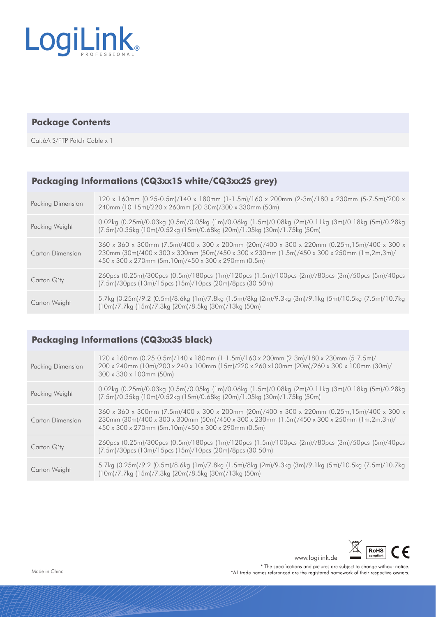

#### **Package Contents**

Cat.6A S/FTP Patch Cable x 1

#### **Packaging Informations (CQ3xx1S white/CQ3xx2S grey)**

| <b>Packing Dimension</b> | 120 x 160mm (0.25-0.5m)/140 x 180mm (1-1.5m)/160 x 200mm (2-3m)/180 x 230mm (5-7.5m)/200 x<br>240mm (10-15m)/220 x 260mm (20-30m)/300 x 330mm (50m)                                                                                              |
|--------------------------|--------------------------------------------------------------------------------------------------------------------------------------------------------------------------------------------------------------------------------------------------|
| Packing Weight           | 0.02kg (0.25m)/0.03kg (0.5m)/0.05kg (1m)/0.06kg (1.5m)/0.08kg (2m)/0.11kg (3m)/0.18kg (5m)/0.28kg<br>(7.5m)/0.35kg (10m)/0.52kg (15m)/0.68kg (20m)/1.05kg (30m)/1.75kg (50m)                                                                     |
| Carton Dimension         | 360 x 360 x 300mm (7.5m)/400 x 300 x 200mm (20m)/400 x 300 x 220mm (0.25m,15m)/400 x 300 x<br>230mm (30m)/400 x 300 x 300mm (50m)/450 x 300 x 230mm (1.5m)/450 x 300 x 250mm (1m,2m,3m)/<br>450 x 300 x 270mm (5m, 10m)/450 x 300 x 290mm (0.5m) |
| Carton $Q'$ ty           | 260pcs (0.25m)/300pcs (0.5m)/180pcs (1m)/120pcs (1.5m)/100pcs (2m)//80pcs (3m)/50pcs (5m)/40pcs<br>(7.5m)/30pcs (10m)/15pcs (15m)/10pcs (20m)/8pcs (30-50m)                                                                                      |
| Carton Weight            | 5.7kg (0.25m)/9.2 (0.5m)/8.6kg (1m)/7.8kg (1.5m)/8kg (2m)/9.3kg (3m)/9.1kg (5m)/10.5kg (7.5m)/10.7kg<br>(10m)/7.7kg (15m)/7.3kg (20m)/8.5kg (30m)/13kg (50m)                                                                                     |

### **Packaging Informations (CQ3xx3S black)**

| <b>Packing Dimension</b> | 120 x 160mm (0.25-0.5m)/140 x 180mm (1-1.5m)/160 x 200mm (2-3m)/180 x 230mm (5-7.5m)/<br>200 x 240mm (10m)/200 x 240 x 100mm (15m)/220 x 260 x100mm (20m)/260 x 300 x 100mm (30m)/<br>$300 \times 330 \times 100$ mm (50m)                       |
|--------------------------|--------------------------------------------------------------------------------------------------------------------------------------------------------------------------------------------------------------------------------------------------|
| Packing Weight           | 0.02kg (0.25m)/0.03kg (0.5m)/0.05kg (1m)/0.06kg (1.5m)/0.08kg (2m)/0.11kg (3m)/0.18kg (5m)/0.28kg<br>(7.5m)/0.35kg (10m)/0.52kg (15m)/0.68kg (20m)/1.05kg (30m)/1.75kg (50m)                                                                     |
| Carton Dimension         | 360 x 360 x 300mm (7.5m)/400 x 300 x 200mm (20m)/400 x 300 x 220mm (0.25m,15m)/400 x 300 x<br>230mm (30m)/400 x 300 x 300mm (50m)/450 x 300 x 230mm (1.5m)/450 x 300 x 250mm (1m,2m,3m)/<br>450 x 300 x 270mm (5m, 10m)/450 x 300 x 290mm (0.5m) |
| Carton $Q'$ ty           | 260pcs (0.25m)/300pcs (0.5m)/180pcs (1m)/120pcs (1.5m)/100pcs (2m)//80pcs (3m)/50pcs (5m)/40pcs<br>(7.5m)/30pcs (10m)/15pcs (15m)/10pcs (20m)/8pcs (30-50m)                                                                                      |
| Carton Weight            | 5.7kg (0.25m)/9.2 (0.5m)/8.6kg (1m)/7.8kg (1.5m)/8kg (2m)/9.3kg (3m)/9.1kg (5m)/10.5kg (7.5m)/10.7kg<br>(10m)/7.7kg (15m)/7.3kg (20m)/8.5kg (30m)/13kg (50m)                                                                                     |



www.logilink.de

\* The specifications and pictures are subject to change without notice. \*All trade names referenced are the registered namework of their respective owners.